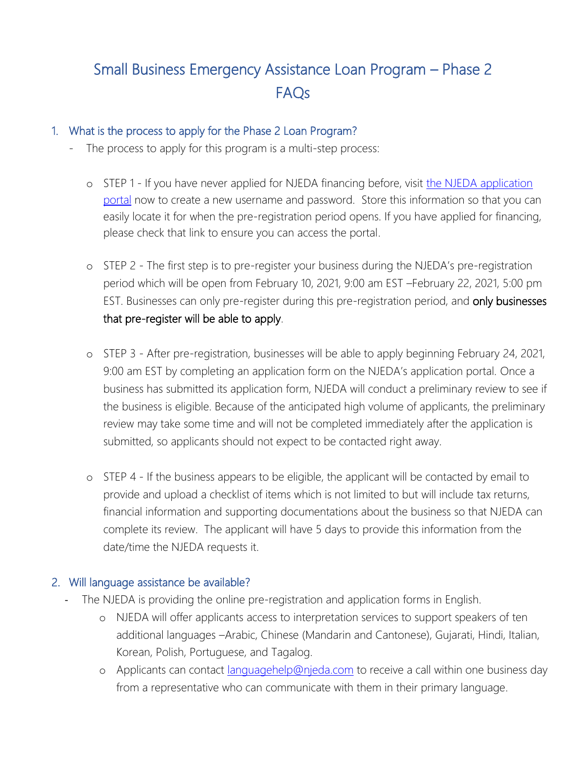# Small Business Emergency Assistance Loan Program – Phase 2 FAQs

#### 1. What is the process to apply for the Phase 2 Loan Program?

- The process to apply for this program is a multi-step process:
	- o STEP 1 If you have never applied for NJEDA financing before, visit [the](https://njeda.powerappsportals.us/en-US/SignIn?returnUrl=%2F) NJEDA application [portal](https://njeda.powerappsportals.us/en-US/SignIn?returnUrl=%2F) now to create a new username and password. Store this information so that you can easily locate it for when the pre-registration period opens. If you have applied for financing, please check that link to ensure you can access the portal.
	- o STEP 2 The first step is to pre-register your business during the NJEDA's pre-registration period which will be open from February 10, 2021, 9:00 am EST –February 22, 2021, 5:00 pm EST. Businesses can only pre-register during this pre-registration period, and only businesses that pre-register will be able to apply.
	- o STEP 3 After pre-registration, businesses will be able to apply beginning February 24, 2021, 9:00 am EST by completing an application form on the NJEDA's application portal. Once a business has submitted its application form, NJEDA will conduct a preliminary review to see if the business is eligible. Because of the anticipated high volume of applicants, the preliminary review may take some time and will not be completed immediately after the application is submitted, so applicants should not expect to be contacted right away.
	- o STEP 4 If the business appears to be eligible, the applicant will be contacted by email to provide and upload a checklist of items which is not limited to but will include tax returns, financial information and supporting documentations about the business so that NJEDA can complete its review. The applicant will have 5 days to provide this information from the date/time the NJEDA requests it.

## 2. Will language assistance be available?

- The NJEDA is providing the online pre-registration and application forms in English.
	- o NJEDA will offer applicants access to interpretation services to support speakers of ten additional languages –Arabic, Chinese (Mandarin and Cantonese), Gujarati, Hindi, Italian, Korean, Polish, Portuguese, and Tagalog.
	- o Applicants can contact *languagehelp@njeda.com* to receive a call within one business day from a representative who can communicate with them in their primary language.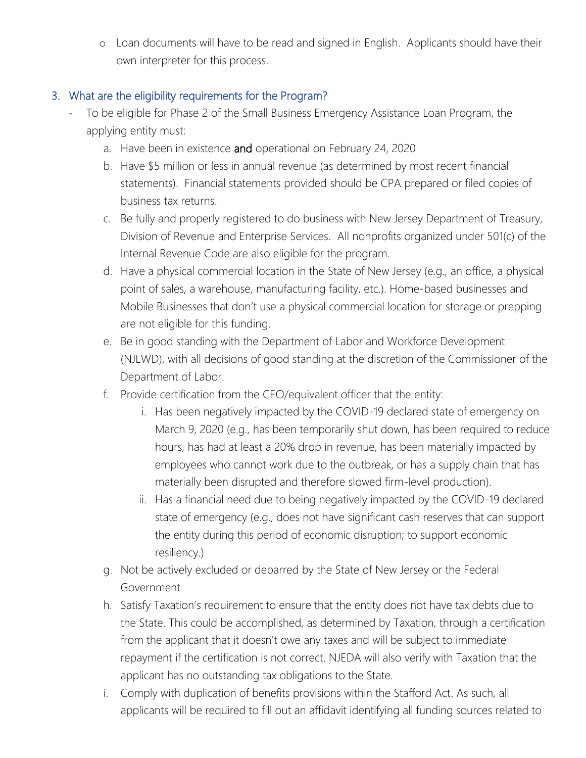o Loan documents will have to be read and signed in English. Applicants should have their own interpreter for this process.

## 3. What are the eligibility requirements for the Program?

- To be eligible for Phase 2 of the Small Business Emergency Assistance Loan Program, the applying entity must:
	- a. Have been in existence and operational on February 24, 2020
	- b. Have \$5 million or less in annual revenue (as determined by most recent financial statements). Financial statements provided should be CPA prepared or filed copies of business tax returns.
	- c. Be fully and properly registered to do business with New Jersey Department of Treasury, Division of Revenue and Enterprise Services. All nonprofits organized under 501(c) of the Internal Revenue Code are also eligible for the program.
	- d. Have a physical commercial location in the State of New Jersey (e.g., an office, a physical point of sales, a warehouse, manufacturing facility, etc.). Home-based businesses and Mobile Businesses that don't use a physical commercial location for storage or prepping are not eligible for this funding.
	- e. Be in good standing with the Department of Labor and Workforce Development (NJLWD), with all decisions of good standing at the discretion of the Commissioner of the Department of Labor.
	- f. Provide certification from the CEO/equivalent officer that the entity:
		- i. Has been negatively impacted by the COVID-19 declared state of emergency on March 9, 2020 (e.g., has been temporarily shut down, has been required to reduce hours, has had at least a 20% drop in revenue, has been materially impacted by employees who cannot work due to the outbreak, or has a supply chain that has materially been disrupted and therefore slowed firm-level production).
		- ii. Has a financial need due to being negatively impacted by the COVID-19 declared state of emergency (e.g., does not have significant cash reserves that can support the entity during this period of economic disruption; to support economic resiliency.)
	- g. Not be actively excluded or debarred by the State of New Jersey or the Federal Government
	- h. Satisfy Taxation's requirement to ensure that the entity does not have tax debts due to the State. This could be accomplished, as determined by Taxation, through a certification from the applicant that it doesn't owe any taxes and will be subject to immediate repayment if the certification is not correct. NJEDA will also verify with Taxation that the applicant has no outstanding tax obligations to the State.
	- i. Comply with duplication of benefits provisions within the Stafford Act. As such, all applicants will be required to fill out an affidavit identifying all funding sources related to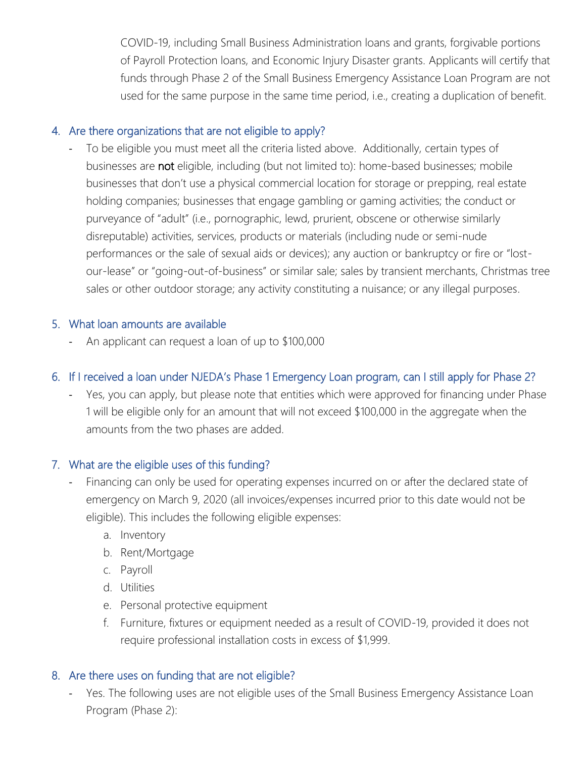COVID-19, including Small Business Administration loans and grants, forgivable portions of Payroll Protection loans, and Economic Injury Disaster grants. Applicants will certify that funds through Phase 2 of the Small Business Emergency Assistance Loan Program are not used for the same purpose in the same time period, i.e., creating a duplication of benefit.

## 4. Are there organizations that are not eligible to apply?

To be eligible you must meet all the criteria listed above. Additionally, certain types of businesses are not eligible, including (but not limited to): home-based businesses; mobile businesses that don't use a physical commercial location for storage or prepping, real estate holding companies; businesses that engage gambling or gaming activities; the conduct or purveyance of "adult" (i.e., pornographic, lewd, prurient, obscene or otherwise similarly disreputable) activities, services, products or materials (including nude or semi-nude performances or the sale of sexual aids or devices); any auction or bankruptcy or fire or "lostour-lease" or "going-out-of-business" or similar sale; sales by transient merchants, Christmas tree sales or other outdoor storage; any activity constituting a nuisance; or any illegal purposes.

#### 5. What loan amounts are available

An applicant can request a loan of up to \$100,000

## 6. If I received a loan under NJEDA's Phase 1 Emergency Loan program, can I still apply for Phase 2?

Yes, you can apply, but please note that entities which were approved for financing under Phase 1 will be eligible only for an amount that will not exceed \$100,000 in the aggregate when the amounts from the two phases are added.

## 7. What are the eligible uses of this funding?

- Financing can only be used for operating expenses incurred on or after the declared state of emergency on March 9, 2020 (all invoices/expenses incurred prior to this date would not be eligible). This includes the following eligible expenses:
	- a. Inventory
	- b. Rent/Mortgage
	- c. Payroll
	- d. Utilities
	- e. Personal protective equipment
	- f. Furniture, fixtures or equipment needed as a result of COVID-19, provided it does not require professional installation costs in excess of \$1,999.

## 8. Are there uses on funding that are not eligible?

- Yes. The following uses are not eligible uses of the Small Business Emergency Assistance Loan Program (Phase 2):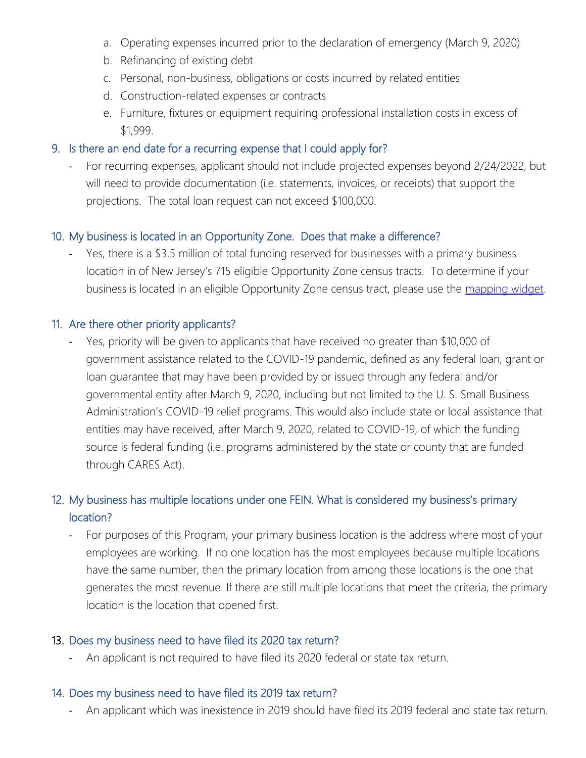- a. Operating expenses incurred prior to the declaration of emergency (March 9, 2020)
- b. Refinancing of existing debt
- c. Personal, non-business, obligations or costs incurred by related entities
- d. Construction-related expenses or contracts
- e. Furniture, fixtures or equipment requiring professional installation costs in excess of \$1,999.

#### 9. Is there an end date for a recurring expense that I could apply for?

For recurring expenses, applicant should not include projected expenses beyond 2/24/2022, but will need to provide documentation (i.e. statements, invoices, or receipts) that support the projections. The total loan request can not exceed \$100,000.

#### 10. My business is located in an Opportunity Zone. Does that make a difference?

Yes, there is a \$3.5 million of total funding reserved for businesses with a primary business location in of New Jersey's 715 eligible Opportunity Zone census tracts. To determine if your business is located in an eligible Opportunity Zone census tract, please use the [mapping widget.](https://www.policymap.com/widget?sid=8884&wkey=JZ9D8HIWMSYLMSMIA32CRQFI5LEZIYL2)

#### 11. Are there other priority applicants?

- Yes, priority will be given to applicants that have received no greater than \$10,000 of government assistance related to the COVID-19 pandemic, defined as any federal loan, grant or loan guarantee that may have been provided by or issued through any federal and/or governmental entity after March 9, 2020, including but not limited to the U. S. Small Business Administration's COVID-19 relief programs. This would also include state or local assistance that entities may have received, after March 9, 2020, related to COVID-19, of which the funding source is federal funding (i.e. programs administered by the state or county that are funded through CARES Act).

## 12. My business has multiple locations under one FEIN. What is considered my business's primary location?

- For purposes of this Program, your primary business location is the address where most of your employees are working. If no one location has the most employees because multiple locations have the same number, then the primary location from among those locations is the one that generates the most revenue. If there are still multiple locations that meet the criteria, the primary location is the location that opened first.

#### 13. Does my business need to have filed its 2020 tax return?

An applicant is not required to have filed its 2020 federal or state tax return.

#### 14. Does my business need to have filed its 2019 tax return?

An applicant which was inexistence in 2019 should have filed its 2019 federal and state tax return.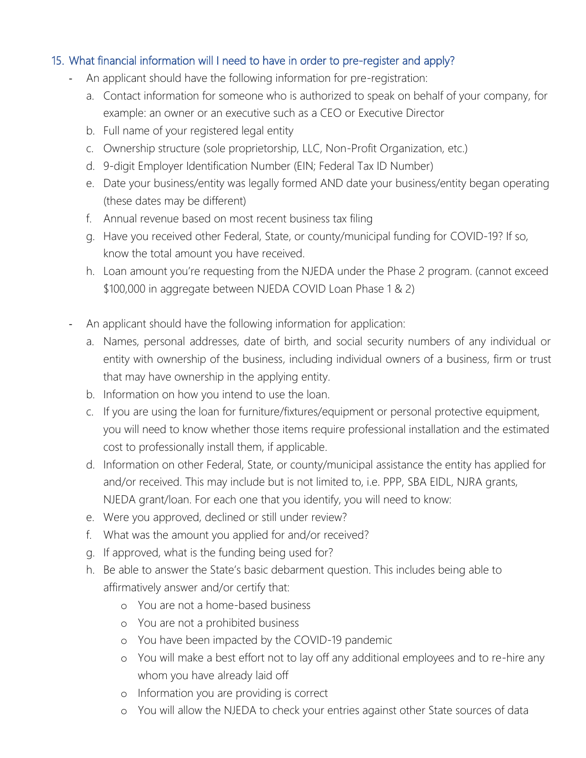## 15. What financial information will I need to have in order to pre-register and apply?

- An applicant should have the following information for pre-registration:
	- a. Contact information for someone who is authorized to speak on behalf of your company, for example: an owner or an executive such as a CEO or Executive Director
	- b. Full name of your registered legal entity
	- c. Ownership structure (sole proprietorship, LLC, Non-Profit Organization, etc.)
	- d. 9-digit Employer Identification Number (EIN; Federal Tax ID Number)
	- e. Date your business/entity was legally formed AND date your business/entity began operating (these dates may be different)
	- f. Annual revenue based on most recent business tax filing
	- g. Have you received other Federal, State, or county/municipal funding for COVID-19? If so, know the total amount you have received.
	- h. Loan amount you're requesting from the NJEDA under the Phase 2 program. (cannot exceed \$100,000 in aggregate between NJEDA COVID Loan Phase 1 & 2)
- An applicant should have the following information for application:
	- a. Names, personal addresses, date of birth, and social security numbers of any individual or entity with ownership of the business, including individual owners of a business, firm or trust that may have ownership in the applying entity.
	- b. Information on how you intend to use the loan.
	- c. If you are using the loan for furniture/fixtures/equipment or personal protective equipment, you will need to know whether those items require professional installation and the estimated cost to professionally install them, if applicable.
	- d. Information on other Federal, State, or county/municipal assistance the entity has applied for and/or received. This may include but is not limited to, i.e. PPP, SBA EIDL, NJRA grants, NJEDA grant/loan. For each one that you identify, you will need to know:
	- e. Were you approved, declined or still under review?
	- f. What was the amount you applied for and/or received?
	- g. If approved, what is the funding being used for?
	- h. Be able to answer the State's basic debarment question. This includes being able to affirmatively answer and/or certify that:
		- o You are not a home-based business
		- o You are not a prohibited business
		- o You have been impacted by the COVID-19 pandemic
		- o You will make a best effort not to lay off any additional employees and to re-hire any whom you have already laid off
		- o Information you are providing is correct
		- o You will allow the NJEDA to check your entries against other State sources of data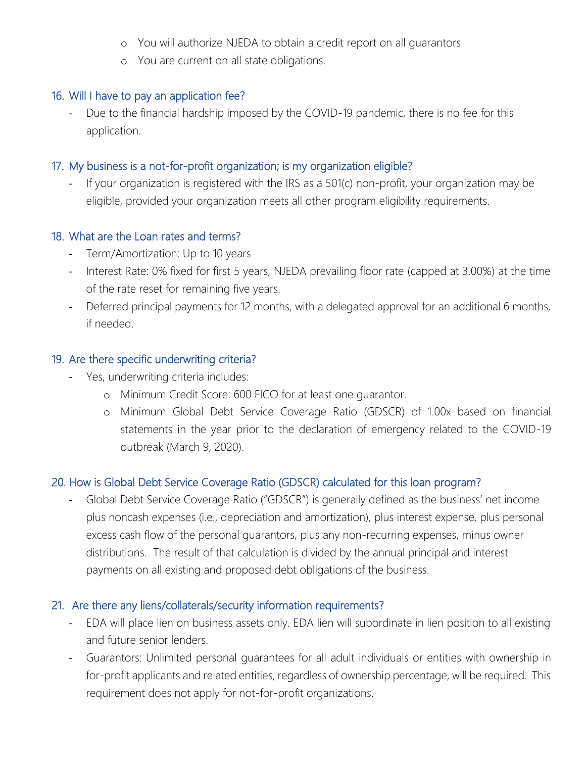- o You will authorize NJEDA to obtain a credit report on all guarantors
- o You are current on all state obligations.

#### 16. Will I have to pay an application fee?

- Due to the financial hardship imposed by the COVID-19 pandemic, there is no fee for this application.

## 17. My business is a not-for-profit organization; is my organization eligible?

If your organization is registered with the IRS as a 501(c) non-profit, your organization may be eligible, provided your organization meets all other program eligibility requirements.

#### 18. What are the Loan rates and terms?

- Term/Amortization: Up to 10 years
- Interest Rate: 0% fixed for first 5 years, NJEDA prevailing floor rate (capped at 3.00%) at the time of the rate reset for remaining five years.
- Deferred principal payments for 12 months, with a delegated approval for an additional 6 months, if needed.

#### 19. Are there specific underwriting criteria?

- Yes, underwriting criteria includes:
	- o Minimum Credit Score: 600 FICO for at least one guarantor.
	- o Minimum Global Debt Service Coverage Ratio (GDSCR) of 1.00x based on financial statements in the year prior to the declaration of emergency related to the COVID-19 outbreak (March 9, 2020).

## 20. How is Global Debt Service Coverage Ratio (GDSCR) calculated for this loan program?

Global Debt Service Coverage Ratio ("GDSCR") is generally defined as the business' net income plus noncash expenses (i.e., depreciation and amortization), plus interest expense, plus personal excess cash flow of the personal guarantors, plus any non-recurring expenses, minus owner distributions. The result of that calculation is divided by the annual principal and interest payments on all existing and proposed debt obligations of the business.

## 21. Are there any liens/collaterals/security information requirements?

- EDA will place lien on business assets only. EDA lien will subordinate in lien position to all existing and future senior lenders.
- Guarantors: Unlimited personal guarantees for all adult individuals or entities with ownership in for-profit applicants and related entities, regardless of ownership percentage, will be required. This requirement does not apply for not-for-profit organizations.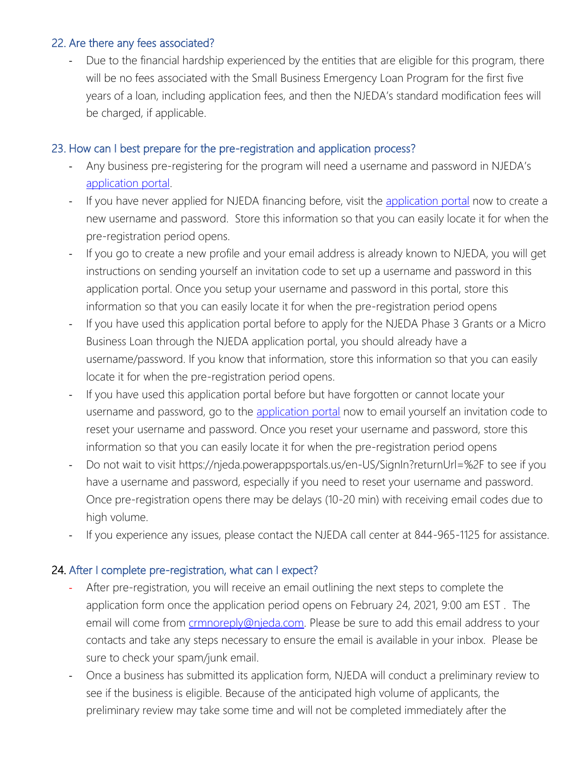#### 22. Are there any fees associated?

Due to the financial hardship experienced by the entities that are eligible for this program, there will be no fees associated with the Small Business Emergency Loan Program for the first five years of a loan, including application fees, and then the NJEDA's standard modification fees will be charged, if applicable.

## 23. How can I best prepare for the pre-registration and application process?

- Any business pre-registering for the program will need a username and password in NJEDA's [application portal.](https://njeda.powerappsportals.us/en-US/SignIn?returnUrl=%2F)
- If you have never applied for NJEDA financing before, visit the [application portal](https://njeda.powerappsportals.us/en-US/SignIn?returnUrl=%2F) now to create a new username and password. Store this information so that you can easily locate it for when the pre-registration period opens.
- If you go to create a new profile and your email address is already known to NJEDA, you will get instructions on sending yourself an invitation code to set up a username and password in this application portal. Once you setup your username and password in this portal, store this information so that you can easily locate it for when the pre-registration period opens
- If you have used this application portal before to apply for the NJEDA Phase 3 Grants or a Micro Business Loan through the NJEDA application portal, you should already have a username/password. If you know that information, store this information so that you can easily locate it for when the pre-registration period opens.
- If you have used this application portal before but have forgotten or cannot locate your username and password, go to the [application portal](https://njeda.powerappsportals.us/en-US/SignIn?returnUrl=%2F) now to email yourself an invitation code to reset your username and password. Once you reset your username and password, store this information so that you can easily locate it for when the pre-registration period opens
- Do not wait to visit https://njeda.powerappsportals.us/en-US/SignIn?returnUrl=%2F to see if you have a username and password, especially if you need to reset your username and password. Once pre-registration opens there may be delays (10-20 min) with receiving email codes due to high volume.
- If you experience any issues, please contact the NJEDA call center at 844-965-1125 for assistance.

#### 24. After I complete pre-registration, what can I expect?

- After pre-registration, you will receive an email outlining the next steps to complete the application form once the application period opens on February 24, 2021, 9:00 am EST . The email will come from *crmnoreply@njeda.com*. Please be sure to add this email address to your contacts and take any steps necessary to ensure the email is available in your inbox. Please be sure to check your spam/junk email.
- Once a business has submitted its application form, NJEDA will conduct a preliminary review to see if the business is eligible. Because of the anticipated high volume of applicants, the preliminary review may take some time and will not be completed immediately after the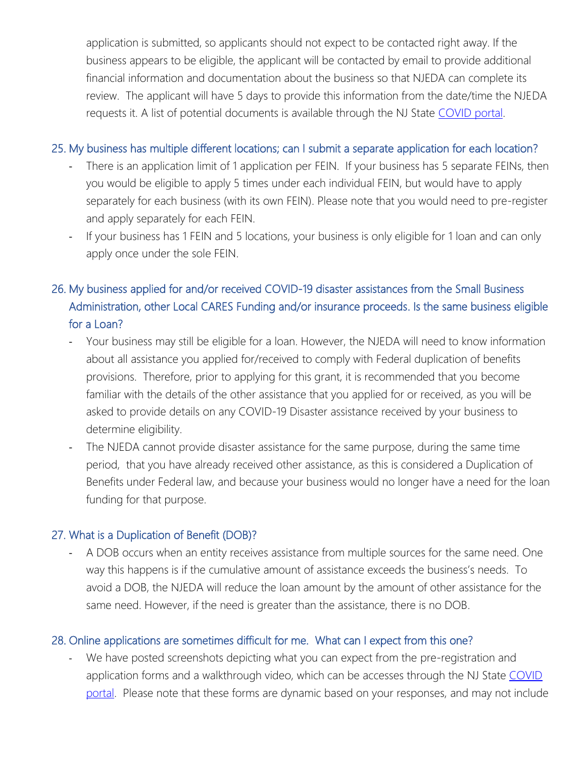application is submitted, so applicants should not expect to be contacted right away. If the business appears to be eligible, the applicant will be contacted by email to provide additional financial information and documentation about the business so that NJEDA can complete its review. The applicant will have 5 days to provide this information from the date/time the NJEDA requests it. A list of potential documents is available through the NJ State [COVID portal.](https://business.nj.gov/covid/small-business-emergency-assistance-loan-program-phase-2)

#### 25. My business has multiple different locations; can I submit a separate application for each location?

- There is an application limit of 1 application per FEIN. If your business has 5 separate FEINs, then you would be eligible to apply 5 times under each individual FEIN, but would have to apply separately for each business (with its own FEIN). Please note that you would need to pre-register and apply separately for each FEIN.
- If your business has 1 FEIN and 5 locations, your business is only eligible for 1 loan and can only apply once under the sole FEIN.

# 26. My business applied for and/or received COVID-19 disaster assistances from the Small Business Administration, other Local CARES Funding and/or insurance proceeds. Is the same business eligible for a Loan?

- Your business may still be eligible for a loan. However, the NJEDA will need to know information about all assistance you applied for/received to comply with Federal duplication of benefits provisions. Therefore, prior to applying for this grant, it is recommended that you become familiar with the details of the other assistance that you applied for or received, as you will be asked to provide details on any COVID-19 Disaster assistance received by your business to determine eligibility.
- The NJEDA cannot provide disaster assistance for the same purpose, during the same time period, that you have already received other assistance, as this is considered a Duplication of Benefits under Federal law, and because your business would no longer have a need for the loan funding for that purpose.

#### 27. What is a Duplication of Benefit (DOB)?

A DOB occurs when an entity receives assistance from multiple sources for the same need. One way this happens is if the cumulative amount of assistance exceeds the business's needs. To avoid a DOB, the NJEDA will reduce the loan amount by the amount of other assistance for the same need. However, if the need is greater than the assistance, there is no DOB.

## 28. Online applications are sometimes difficult for me. What can I expect from this one?

We have posted screenshots depicting what you can expect from the pre-registration and application forms and a walkthrough video, which can be accesses through the NJ State [COVID](https://business.nj.gov/covid/small-business-emergency-assistance-loan-program-phase-2)  [portal.](https://business.nj.gov/covid/small-business-emergency-assistance-loan-program-phase-2) Please note that these forms are dynamic based on your responses, and may not include